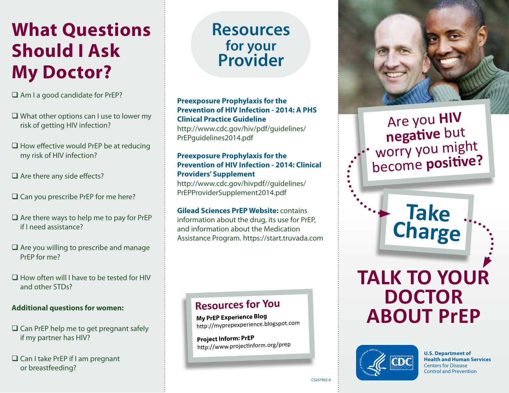# **What Questions Should I Ask My Doctor?**

 $\Box$  Am I a good candidate for PrEP?

- $\Box$  What other options can I use to lower my risk of getting HIV infection?
- $\Box$  How effective would PrEP be at reducing my risk of HIV infection?
- $\Box$  Are there any side effects?
- $\square$  Can you prescribe PrEP for me here?
- $\Box$  Are there ways to help me to pay for PrEP if I need assistance?
- $\Box$  Are you willing to prescribe and manage PrEP for me?
- $\Box$  How often will I have to be tested for HIV and other STDs?

#### **Additional questions for women:**

- $\square$  Can PrEP help me to get pregnant safely if my partner has HIV?
- □ Can I take PrEP if I am pregnant or breastfeeding?

# **Resources for your Provider**

### **Preexposure Prophylaxis for the Prevention of HIV Infection - 2014: A PHS Clinical Practice Guideline**

http://www.cdc.gov/hiv/pdf/guidelines/ PrEPguidelines2014.pdf

### **Preexposure Prophylaxis for the Prevention of HIV Infection - 2014: Clinical Providers' Supplement**

http://www.cdc.gov/hivpdf//guidelines/ PrEPProviderSupplement2014.pdf

#### **Gilead Sciences PrEP Website:** contains information about the drug, its use for PrEP, and information about the Medication Assistance Program. https://start.truvada.com

### **Resources for You**

**My PrEP Experience Blog**  [http://myprepexper](http://myprepexperience.blogspot.com)ience.blogspot.com

**Project Inform: PrEP** [http://www.projectinform.org](http://www.projectinform.org/prep)/prep



## Are you **HIV negative** but worry you might become **positive?**

**Take** 

**Charge**

# **TALK TO YOUR DOCTOR ABOUT PrEP**



**U.S. Department of Health and Human Services** Centers for Disease Control and Prevention